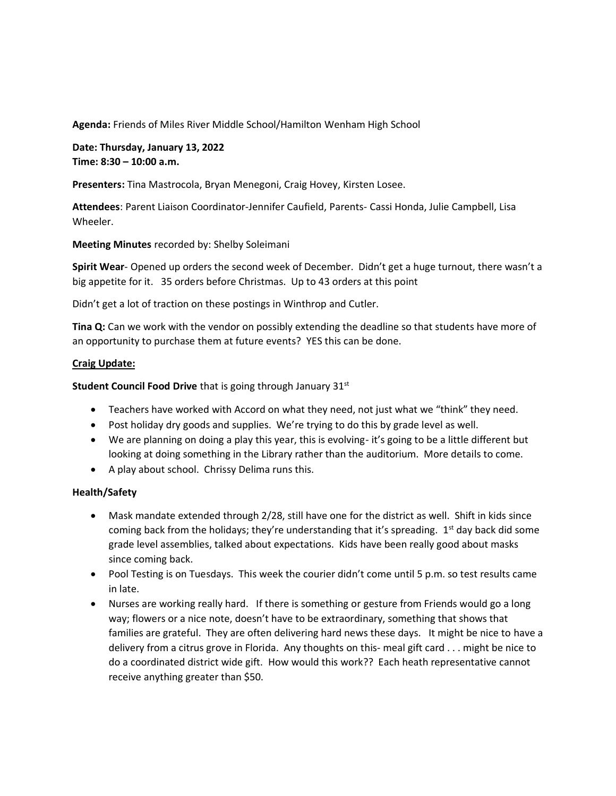**Agenda:** Friends of Miles River Middle School/Hamilton Wenham High School

**Date: Thursday, January 13, 2022 Time: 8:30 – 10:00 a.m.**

**Presenters:** Tina Mastrocola, Bryan Menegoni, Craig Hovey, Kirsten Losee.

**Attendees**: Parent Liaison Coordinator-Jennifer Caufield, Parents- Cassi Honda, Julie Campbell, Lisa Wheeler.

**Meeting Minutes** recorded by: Shelby Soleimani

**Spirit Wear**- Opened up orders the second week of December. Didn't get a huge turnout, there wasn't a big appetite for it. 35 orders before Christmas. Up to 43 orders at this point

Didn't get a lot of traction on these postings in Winthrop and Cutler.

**Tina Q:** Can we work with the vendor on possibly extending the deadline so that students have more of an opportunity to purchase them at future events? YES this can be done.

#### **Craig Update:**

**Student Council Food Drive** that is going through January 31st

- Teachers have worked with Accord on what they need, not just what we "think" they need.
- Post holiday dry goods and supplies. We're trying to do this by grade level as well.
- We are planning on doing a play this year, this is evolving- it's going to be a little different but looking at doing something in the Library rather than the auditorium. More details to come.
- A play about school. Chrissy Delima runs this.

### **Health/Safety**

- Mask mandate extended through 2/28, still have one for the district as well. Shift in kids since coming back from the holidays; they're understanding that it's spreading.  $1<sup>st</sup>$  day back did some grade level assemblies, talked about expectations. Kids have been really good about masks since coming back.
- Pool Testing is on Tuesdays. This week the courier didn't come until 5 p.m. so test results came in late.
- Nurses are working really hard. If there is something or gesture from Friends would go a long way; flowers or a nice note, doesn't have to be extraordinary, something that shows that families are grateful. They are often delivering hard news these days. It might be nice to have a delivery from a citrus grove in Florida. Any thoughts on this- meal gift card . . . might be nice to do a coordinated district wide gift. How would this work?? Each heath representative cannot receive anything greater than \$50.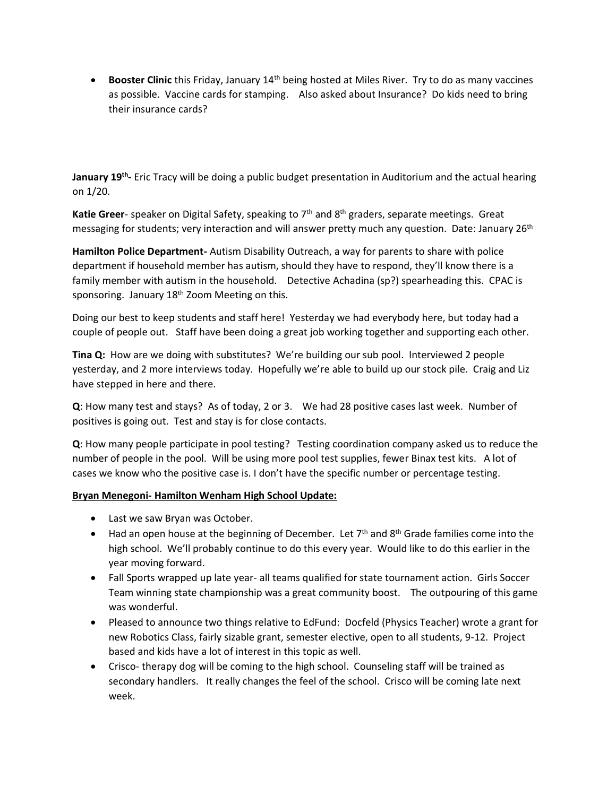• **Booster Clinic** this Friday, January 14th being hosted at Miles River. Try to do as many vaccines as possible. Vaccine cards for stamping. Also asked about Insurance? Do kids need to bring their insurance cards?

**January 19th -** Eric Tracy will be doing a public budget presentation in Auditorium and the actual hearing on 1/20.

Katie Greer- speaker on Digital Safety, speaking to 7<sup>th</sup> and 8<sup>th</sup> graders, separate meetings. Great messaging for students; very interaction and will answer pretty much any question. Date: January 26<sup>th</sup>

**Hamilton Police Department-** Autism Disability Outreach, a way for parents to share with police department if household member has autism, should they have to respond, they'll know there is a family member with autism in the household. Detective Achadina (sp?) spearheading this. CPAC is sponsoring. January 18<sup>th</sup> Zoom Meeting on this.

Doing our best to keep students and staff here! Yesterday we had everybody here, but today had a couple of people out. Staff have been doing a great job working together and supporting each other.

**Tina Q:** How are we doing with substitutes? We're building our sub pool. Interviewed 2 people yesterday, and 2 more interviews today. Hopefully we're able to build up our stock pile. Craig and Liz have stepped in here and there.

**Q**: How many test and stays? As of today, 2 or 3. We had 28 positive cases last week. Number of positives is going out. Test and stay is for close contacts.

**Q**: How many people participate in pool testing? Testing coordination company asked us to reduce the number of people in the pool. Will be using more pool test supplies, fewer Binax test kits. A lot of cases we know who the positive case is. I don't have the specific number or percentage testing.

# **Bryan Menegoni- Hamilton Wenham High School Update:**

- Last we saw Bryan was October.
- Had an open house at the beginning of December. Let  $7<sup>th</sup>$  and  $8<sup>th</sup>$  Grade families come into the high school. We'll probably continue to do this every year. Would like to do this earlier in the year moving forward.
- Fall Sports wrapped up late year- all teams qualified for state tournament action. Girls Soccer Team winning state championship was a great community boost. The outpouring of this game was wonderful.
- Pleased to announce two things relative to EdFund: Docfeld (Physics Teacher) wrote a grant for new Robotics Class, fairly sizable grant, semester elective, open to all students, 9-12. Project based and kids have a lot of interest in this topic as well.
- Crisco- therapy dog will be coming to the high school. Counseling staff will be trained as secondary handlers. It really changes the feel of the school. Crisco will be coming late next week.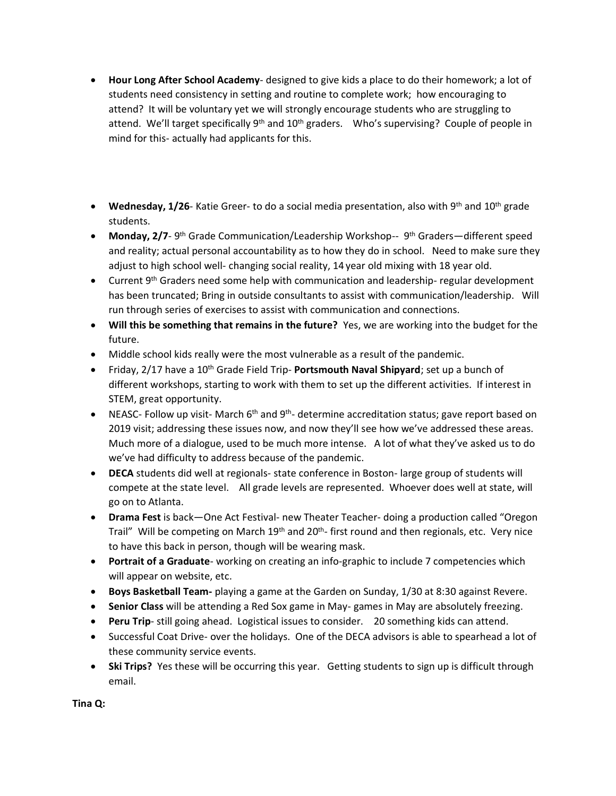- **Hour Long After School Academy** designed to give kids a place to do their homework; a lot of students need consistency in setting and routine to complete work; how encouraging to attend? It will be voluntary yet we will strongly encourage students who are struggling to attend. We'll target specifically  $9<sup>th</sup>$  and  $10<sup>th</sup>$  graders. Who's supervising? Couple of people in mind for this- actually had applicants for this.
- **Wednesday, 1/26** Katie Greer- to do a social media presentation, also with 9<sup>th</sup> and 10<sup>th</sup> grade students.
- Monday, 2/7- 9<sup>th</sup> Grade Communication/Leadership Workshop-- 9<sup>th</sup> Graders—different speed and reality; actual personal accountability as to how they do in school. Need to make sure they adjust to high school well- changing social reality, 14 year old mixing with 18 year old.
- Current 9<sup>th</sup> Graders need some help with communication and leadership- regular development has been truncated; Bring in outside consultants to assist with communication/leadership. Will run through series of exercises to assist with communication and connections.
- **Will this be something that remains in the future?** Yes, we are working into the budget for the future.
- Middle school kids really were the most vulnerable as a result of the pandemic.
- Friday, 2/17 have a 10<sup>th</sup> Grade Field Trip- **Portsmouth Naval Shipyard**; set up a bunch of different workshops, starting to work with them to set up the different activities. If interest in STEM, great opportunity.
- NEASC- Follow up visit- March 6<sup>th</sup> and 9<sup>th</sup>- determine accreditation status; gave report based on 2019 visit; addressing these issues now, and now they'll see how we've addressed these areas. Much more of a dialogue, used to be much more intense. A lot of what they've asked us to do we've had difficulty to address because of the pandemic.
- **DECA** students did well at regionals- state conference in Boston- large group of students will compete at the state level. All grade levels are represented. Whoever does well at state, will go on to Atlanta.
- **Drama Fest** is back—One Act Festival- new Theater Teacher- doing a production called "Oregon Trail" Will be competing on March 19<sup>th</sup> and 20<sup>th</sup>- first round and then regionals, etc. Very nice to have this back in person, though will be wearing mask.
- **Portrait of a Graduate** working on creating an info-graphic to include 7 competencies which will appear on website, etc.
- **Boys Basketball Team-** playing a game at the Garden on Sunday, 1/30 at 8:30 against Revere.
- **Senior Class** will be attending a Red Sox game in May- games in May are absolutely freezing.
- **Peru Trip** still going ahead. Logistical issues to consider. 20 something kids can attend.
- Successful Coat Drive- over the holidays. One of the DECA advisors is able to spearhead a lot of these community service events.
- **Ski Trips?** Yes these will be occurring this year. Getting students to sign up is difficult through email.

**Tina Q:**